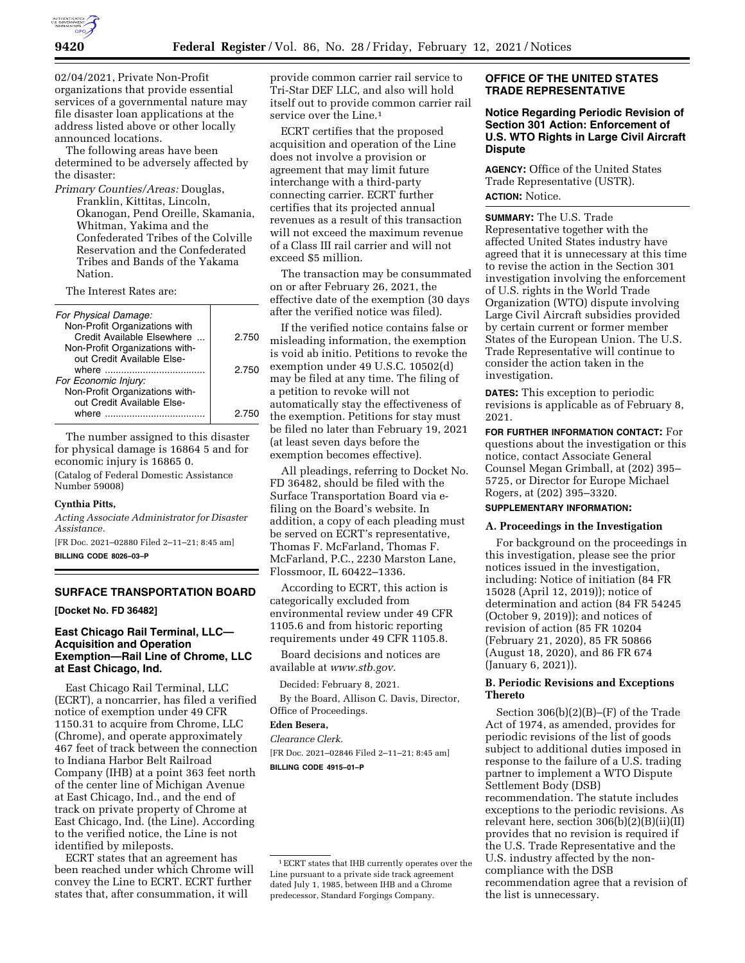

02/04/2021, Private Non-Profit organizations that provide essential services of a governmental nature may file disaster loan applications at the address listed above or other locally announced locations.

The following areas have been determined to be adversely affected by the disaster:

*Primary Counties/Areas:* Douglas, Franklin, Kittitas, Lincoln, Okanogan, Pend Oreille, Skamania, Whitman, Yakima and the Confederated Tribes of the Colville Reservation and the Confederated Tribes and Bands of the Yakama Nation.

The Interest Rates are:

| For Physical Damage:<br>Non-Profit Organizations with<br>Credit Available Elsewhere<br>Non-Profit Organizations with-<br>out Credit Available Else- | 2.750 |
|-----------------------------------------------------------------------------------------------------------------------------------------------------|-------|
| where                                                                                                                                               | 2.750 |
| For Economic Injury:                                                                                                                                |       |
| Non-Profit Organizations with-                                                                                                                      |       |
| out Credit Available Else-                                                                                                                          |       |
| where                                                                                                                                               | 2 750 |

The number assigned to this disaster for physical damage is 16864 5 and for economic injury is 16865 0.

(Catalog of Federal Domestic Assistance Number 59008)

#### **Cynthia Pitts,**

*Acting Associate Administrator for Disaster Assistance.* 

[FR Doc. 2021–02880 Filed 2–11–21; 8:45 am] **BILLING CODE 8026–03–P** 

#### **SURFACE TRANSPORTATION BOARD**

**[Docket No. FD 36482]** 

# **East Chicago Rail Terminal, LLC— Acquisition and Operation Exemption—Rail Line of Chrome, LLC at East Chicago, Ind.**

East Chicago Rail Terminal, LLC (ECRT), a noncarrier, has filed a verified notice of exemption under 49 CFR 1150.31 to acquire from Chrome, LLC (Chrome), and operate approximately 467 feet of track between the connection to Indiana Harbor Belt Railroad Company (IHB) at a point 363 feet north of the center line of Michigan Avenue at East Chicago, Ind., and the end of track on private property of Chrome at East Chicago, Ind. (the Line). According to the verified notice, the Line is not identified by mileposts.

ECRT states that an agreement has been reached under which Chrome will convey the Line to ECRT. ECRT further states that, after consummation, it will

provide common carrier rail service to Tri-Star DEF LLC, and also will hold itself out to provide common carrier rail service over the Line.1

ECRT certifies that the proposed acquisition and operation of the Line does not involve a provision or agreement that may limit future interchange with a third-party connecting carrier. ECRT further certifies that its projected annual revenues as a result of this transaction will not exceed the maximum revenue of a Class III rail carrier and will not exceed \$5 million.

The transaction may be consummated on or after February 26, 2021, the effective date of the exemption (30 days after the verified notice was filed).

If the verified notice contains false or misleading information, the exemption is void ab initio. Petitions to revoke the exemption under 49 U.S.C. 10502(d) may be filed at any time. The filing of a petition to revoke will not automatically stay the effectiveness of the exemption. Petitions for stay must be filed no later than February 19, 2021 (at least seven days before the exemption becomes effective).

All pleadings, referring to Docket No. FD 36482, should be filed with the Surface Transportation Board via efiling on the Board's website. In addition, a copy of each pleading must be served on ECRT's representative, Thomas F. McFarland, Thomas F. McFarland, P.C., 2230 Marston Lane, Flossmoor, IL 60422–1336.

According to ECRT, this action is categorically excluded from environmental review under 49 CFR 1105.6 and from historic reporting requirements under 49 CFR 1105.8.

Board decisions and notices are available at *[www.stb.gov.](http://www.stb.gov)* 

Decided: February 8, 2021.

By the Board, Allison C. Davis, Director, Office of Proceedings.

# **Eden Besera,**

*Clearance Clerk.*  [FR Doc. 2021–02846 Filed 2–11–21; 8:45 am] **BILLING CODE 4915–01–P** 

# **OFFICE OF THE UNITED STATES TRADE REPRESENTATIVE**

# **Notice Regarding Periodic Revision of Section 301 Action: Enforcement of U.S. WTO Rights in Large Civil Aircraft Dispute**

**AGENCY:** Office of the United States Trade Representative (USTR). **ACTION:** Notice.

**SUMMARY:** The U.S. Trade Representative together with the affected United States industry have agreed that it is unnecessary at this time to revise the action in the Section 301 investigation involving the enforcement of U.S. rights in the World Trade Organization (WTO) dispute involving Large Civil Aircraft subsidies provided by certain current or former member States of the European Union. The U.S. Trade Representative will continue to consider the action taken in the investigation.

**DATES:** This exception to periodic revisions is applicable as of February 8, 2021.

**FOR FURTHER INFORMATION CONTACT:** For questions about the investigation or this notice, contact Associate General Counsel Megan Grimball, at (202) 395– 5725, or Director for Europe Michael Rogers, at (202) 395–3320.

# **SUPPLEMENTARY INFORMATION:**

#### **A. Proceedings in the Investigation**

For background on the proceedings in this investigation, please see the prior notices issued in the investigation, including: Notice of initiation (84 FR 15028 (April 12, 2019)); notice of determination and action (84 FR 54245 (October 9, 2019)); and notices of revision of action (85 FR 10204 (February 21, 2020), 85 FR 50866 (August 18, 2020), and 86 FR 674 (January 6, 2021)).

## **B. Periodic Revisions and Exceptions Thereto**

Section 306(b)(2)(B)–(F) of the Trade Act of 1974, as amended, provides for periodic revisions of the list of goods subject to additional duties imposed in response to the failure of a U.S. trading partner to implement a WTO Dispute Settlement Body (DSB) recommendation. The statute includes exceptions to the periodic revisions. As relevant here, section 306(b)(2)(B)(ii)(II) provides that no revision is required if the U.S. Trade Representative and the U.S. industry affected by the noncompliance with the DSB recommendation agree that a revision of the list is unnecessary.

<sup>1</sup>ECRT states that IHB currently operates over the Line pursuant to a private side track agreement dated July 1, 1985, between IHB and a Chrome predecessor, Standard Forgings Company.